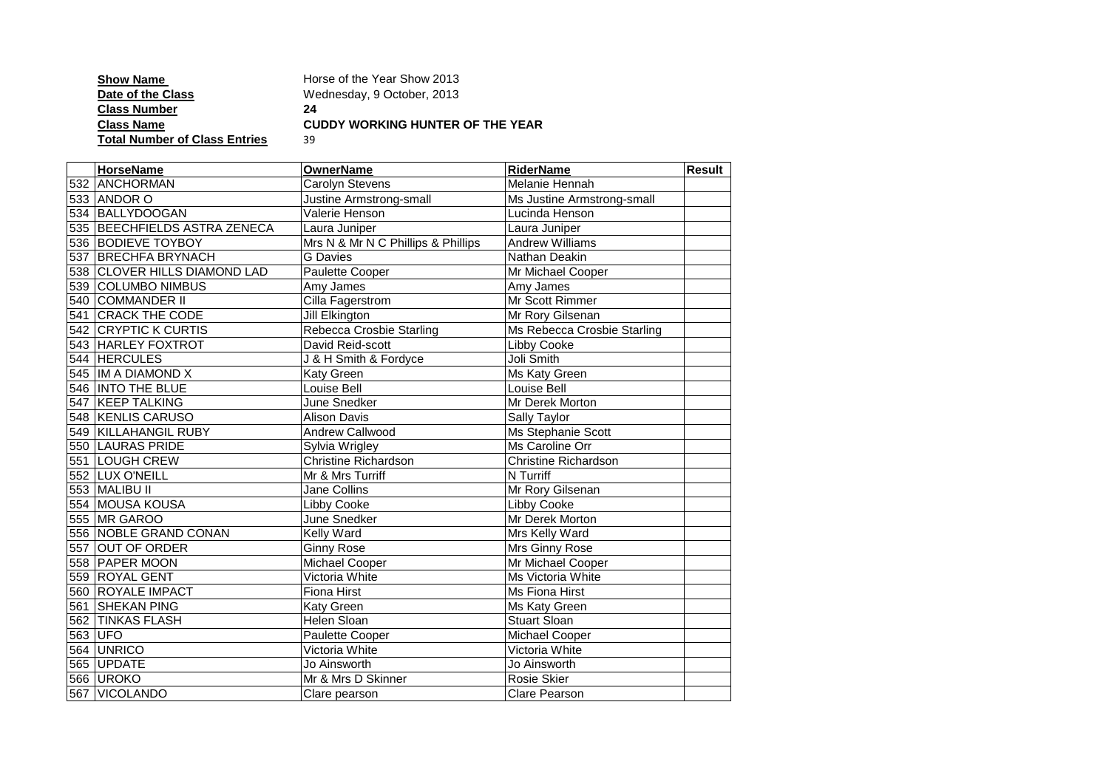| <b>Show Name</b>                     | Horse of the Year Show 2013             |
|--------------------------------------|-----------------------------------------|
| Date of the Class                    | Wednesday, 9 October, 2013              |
| <b>Class Number</b>                  | 24                                      |
| <b>Class Name</b>                    | <b>CUDDY WORKING HUNTER OF THE YEAR</b> |
| <b>Total Number of Class Entries</b> | 39                                      |

| <b>HorseName</b>             | <b>OwnerName</b>                   | <b>RiderName</b>            | Result |
|------------------------------|------------------------------------|-----------------------------|--------|
| 532 ANCHORMAN                | Carolyn Stevens                    | Melanie Hennah              |        |
| 533 ANDOR O                  | Justine Armstrong-small            | Ms Justine Armstrong-small  |        |
| 534 BALLYDOOGAN              | Valerie Henson                     | Lucinda Henson              |        |
| 535 BEECHFIELDS ASTRA ZENECA | Laura Juniper                      | Laura Juniper               |        |
| 536 BODIEVE TOYBOY           | Mrs N & Mr N C Phillips & Phillips | <b>Andrew Williams</b>      |        |
| 537 BRECHFA BRYNACH          | <b>G</b> Davies                    | Nathan Deakin               |        |
| 538 CLOVER HILLS DIAMOND LAD | Paulette Cooper                    | Mr Michael Cooper           |        |
| 539 COLUMBO NIMBUS           | Amy James                          | Amy James                   |        |
| 540 COMMANDER II             | Cilla Fagerstrom                   | Mr Scott Rimmer             |        |
| 541 CRACK THE CODE           | Jill Elkington                     | Mr Rory Gilsenan            |        |
| 542 CRYPTIC K CURTIS         | Rebecca Crosbie Starling           | Ms Rebecca Crosbie Starling |        |
| 543 HARLEY FOXTROT           | David Reid-scott                   | Libby Cooke                 |        |
| 544 HERCULES                 | J & H Smith & Fordyce              | Joli Smith                  |        |
| 545  IM A DIAMOND X          | Katy Green                         | Ms Katy Green               |        |
| 546  INTO THE BLUE           | Louise Bell                        | Louise Bell                 |        |
| 547 KEEP TALKING             | June Snedker                       | Mr Derek Morton             |        |
| 548 KENLIS CARUSO            | <b>Alison Davis</b>                | Sally Taylor                |        |
| 549 KILLAHANGIL RUBY         | Andrew Callwood                    | Ms Stephanie Scott          |        |
| 550 LAURAS PRIDE             | Sylvia Wrigley                     | Ms Caroline Orr             |        |
| 551 LOUGH CREW               | Christine Richardson               | Christine Richardson        |        |
| 552 LUX O'NEILL              | Mr & Mrs Turriff                   | N Turriff                   |        |
| 553 MALIBU II                | Jane Collins                       | Mr Rory Gilsenan            |        |
| 554 MOUSA KOUSA              | Libby Cooke                        | Libby Cooke                 |        |
| 555 MR GAROO                 | June Snedker                       | Mr Derek Morton             |        |
| 556 NOBLE GRAND CONAN        | Kelly Ward                         | Mrs Kelly Ward              |        |
| 557 OUT OF ORDER             | <b>Ginny Rose</b>                  | Mrs Ginny Rose              |        |
| 558 PAPER MOON               | Michael Cooper                     | Mr Michael Cooper           |        |
| 559 ROYAL GENT               | Victoria White                     | Ms Victoria White           |        |
| 560 ROYALE IMPACT            | <b>Fiona Hirst</b>                 | Ms Fiona Hirst              |        |
| 561 SHEKAN PING              | Katy Green                         | Ms Katy Green               |        |
| 562 TINKAS FLASH             | Helen Sloan                        | <b>Stuart Sloan</b>         |        |
| 563 UFO                      | Paulette Cooper                    | Michael Cooper              |        |
| 564 UNRICO                   | Victoria White                     | Victoria White              |        |
| 565 UPDATE                   | Jo Ainsworth                       | Jo Ainsworth                |        |
| 566 UROKO                    | Mr & Mrs D Skinner                 | Rosie Skier                 |        |
| 567 VICOLANDO                | Clare pearson                      | Clare Pearson               |        |